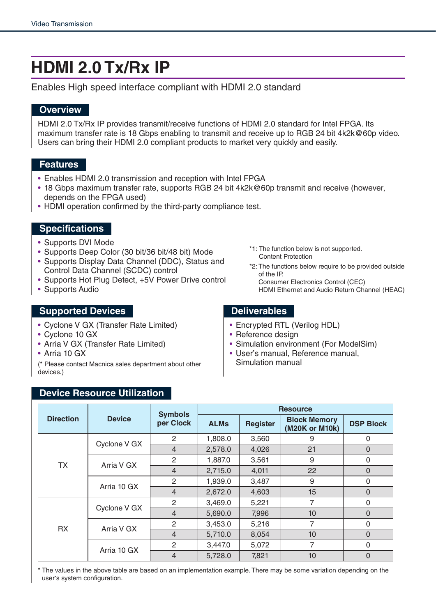# **HDMI 2.0 Tx/Rx IP**

Enables High speed interface compliant with HDMI 2.0 standard

### **Overview**

HDMI 2.0 Tx/Rx IP provides transmit/receive functions of HDMI 2.0 standard for Intel FPGA. Its maximum transfer rate is 18 Gbps enabling to transmit and receive up to RGB 24 bit 4k2k@60p video. Users can bring their HDMI 2.0 compliant products to market very quickly and easily.

#### **Features**

- Enables HDMI 2.0 transmission and reception with Intel FPGA
- 18 Gbps maximum transfer rate, supports RGB 24 bit 4k2k@60p transmit and receive (however, depends on the FPGA used)
- HDMI operation confirmed by the third-party compliance test.

#### **Specifications**

- Supports DVI Mode
- Supports Deep Color (30 bit/36 bit/48 bit) Mode
- Supports Display Data Channel (DDC), Status and Control Data Channel (SCDC) control
- Supports Hot Plug Detect, +5V Power Drive control
- Supports Audio

#### **Supported Devices Deliverables**

- Cyclone V GX (Transfer Rate Limited)
- Cyclone 10 GX
- Arria V GX (Transfer Rate Limited)
- Arria 10 GX

(\* Please contact Macnica sales department about other devices.)

- \*1: The function below is not supported. Content Protection
- \*2: The functions below require to be provided outside of the IP. Consumer Electronics Control (CEC) HDMI Ethernet and Audio Return Channel (HEAC)

- Encrypted RTL (Verilog HDL)
- Reference design
- Simulation environment (For ModelSim)
- User's manual, Reference manual, Simulation manual

#### **Device Resource Utilization**

| <b>Direction</b> | <b>Device</b> | <b>Symbols</b><br>per Clock | <b>Resource</b> |                 |                                       |                  |
|------------------|---------------|-----------------------------|-----------------|-----------------|---------------------------------------|------------------|
|                  |               |                             | <b>ALMs</b>     | <b>Register</b> | <b>Block Memory</b><br>(M20K or M10k) | <b>DSP Block</b> |
| <b>TX</b>        | Cyclone V GX  | 2                           | 1,808.0         | 3,560           | 9                                     | 0                |
|                  |               | $\overline{4}$              | 2,578.0         | 4,026           | 21                                    | $\overline{0}$   |
|                  | Arria V GX    | $\overline{2}$              | 1,887.0         | 3,561           | 9                                     | 0                |
|                  |               | $\overline{4}$              | 2,715.0         | 4,011           | 22                                    | $\Omega$         |
|                  | Arria 10 GX   | $\overline{2}$              | 1,939.0         | 3,487           | 9                                     | 0                |
|                  |               | $\overline{4}$              | 2,672.0         | 4,603           | 15                                    | $\Omega$         |
| <b>RX</b>        | Cyclone V GX  | $\overline{2}$              | 3,469.0         | 5,221           | 7                                     | 0                |
|                  |               | $\overline{4}$              | 5,690.0         | 7,996           | 10                                    | $\Omega$         |
|                  | Arria V GX    | $\overline{2}$              | 3,453.0         | 5,216           | 7                                     | 0                |
|                  |               | $\overline{4}$              | 5,710.0         | 8,054           | 10                                    | $\Omega$         |
|                  | Arria 10 GX   | $\overline{2}$              | 3,447.0         | 5,072           | 7                                     | 0                |
|                  |               | $\overline{4}$              | 5,728.0         | 7,821           | 10                                    | $\overline{0}$   |

\* The values in the above table are based on an implementation example. There may be some variation depending on the user's system configuration.